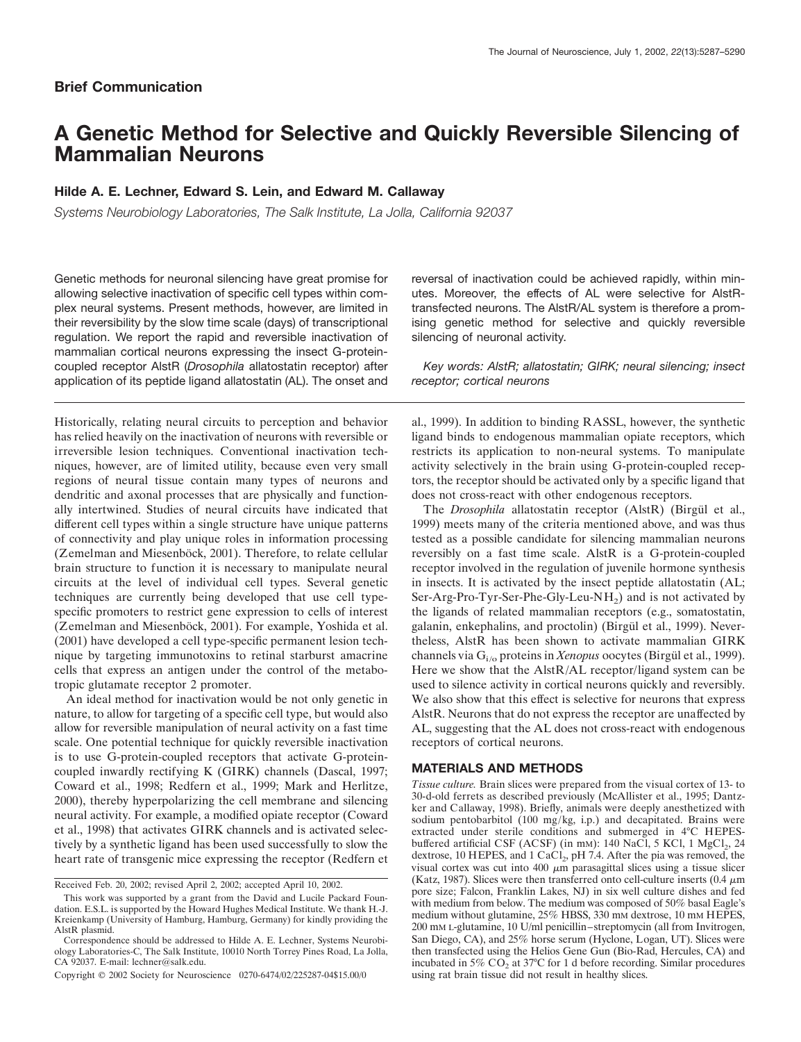# **A Genetic Method for Selective and Quickly Reversible Silencing of Mammalian Neurons**

## **Hilde A. E. Lechner, Edward S. Lein, and Edward M. Callaway**

*Systems Neurobiology Laboratories, The Salk Institute, La Jolla, California 92037*

Genetic methods for neuronal silencing have great promise for allowing selective inactivation of specific cell types within complex neural systems. Present methods, however, are limited in their reversibility by the slow time scale (days) of transcriptional regulation. We report the rapid and reversible inactivation of mammalian cortical neurons expressing the insect G-proteincoupled receptor AlstR (*Drosophila* allatostatin receptor) after application of its peptide ligand allatostatin (AL). The onset and

Historically, relating neural circuits to perception and behavior has relied heavily on the inactivation of neurons with reversible or irreversible lesion techniques. Conventional inactivation techniques, however, are of limited utility, because even very small regions of neural tissue contain many types of neurons and dendritic and axonal processes that are physically and functionally intertwined. Studies of neural circuits have indicated that different cell types within a single structure have unique patterns of connectivity and play unique roles in information processing (Zemelman and Miesenböck, 2001). Therefore, to relate cellular brain structure to function it is necessary to manipulate neural circuits at the level of individual cell types. Several genetic techniques are currently being developed that use cell typespecific promoters to restrict gene expression to cells of interest (Zemelman and Miesenböck, 2001). For example, Yoshida et al. (2001) have developed a cell type-specific permanent lesion technique by targeting immunotoxins to retinal starburst amacrine cells that express an antigen under the control of the metabotropic glutamate receptor 2 promoter.

An ideal method for inactivation would be not only genetic in nature, to allow for targeting of a specific cell type, but would also allow for reversible manipulation of neural activity on a fast time scale. One potential technique for quickly reversible inactivation is to use G-protein-coupled receptors that activate G-proteincoupled inwardly rectifying K (GIRK) channels (Dascal, 1997; Coward et al., 1998; Redfern et al., 1999; Mark and Herlitze, 2000), thereby hyperpolarizing the cell membrane and silencing neural activity. For example, a modified opiate receptor (Coward et al., 1998) that activates GIRK channels and is activated selectively by a synthetic ligand has been used successfully to slow the heart rate of transgenic mice expressing the receptor (Redfern et reversal of inactivation could be achieved rapidly, within minutes. Moreover, the effects of AL were selective for AlstRtransfected neurons. The AlstR/AL system is therefore a promising genetic method for selective and quickly reversible silencing of neuronal activity.

*Key words: AlstR; allatostatin; GIRK; neural silencing; insect receptor; cortical neurons*

al., 1999). In addition to binding RASSL, however, the synthetic ligand binds to endogenous mammalian opiate receptors, which restricts its application to non-neural systems. To manipulate activity selectively in the brain using G-protein-coupled receptors, the receptor should be activated only by a specific ligand that does not cross-react with other endogenous receptors.

The *Drosophila* allatostatin receptor (AlstR) (Birgül et al., 1999) meets many of the criteria mentioned above, and was thus tested as a possible candidate for silencing mammalian neurons reversibly on a fast time scale. AlstR is a G-protein-coupled receptor involved in the regulation of juvenile hormone synthesis in insects. It is activated by the insect peptide allatostatin (AL; Ser-Arg-Pro-Tyr-Ser-Phe-Gly-Leu-NH<sub>2</sub>) and is not activated by the ligands of related mammalian receptors (e.g., somatostatin, galanin, enkephalins, and proctolin) (Birgül et al., 1999). Nevertheless, AlstR has been shown to activate mammalian GIRK channels via  $G_{i,o}$  proteins in *Xenopus* oocytes (Birgul et al., 1999). Here we show that the AlstR/AL receptor/ligand system can be used to silence activity in cortical neurons quickly and reversibly. We also show that this effect is selective for neurons that express AlstR. Neurons that do not express the receptor are unaffected by AL, suggesting that the AL does not cross-react with endogenous receptors of cortical neurons.

#### **MATERIALS AND METHODS**

*Tissue culture.* Brain slices were prepared from the visual cortex of 13- to 30-d-old ferrets as described previously (McAllister et al., 1995; Dantzker and Callaway, 1998). Briefly, animals were deeply anesthetized with sodium pentobarbitol (100 mg/kg, i.p.) and decapitated. Brains were extracted under sterile conditions and submerged in 4°C HEPESbuffered artificial CSF (ACSF) (in mm):  $140$  NaCl,  $5$  KCl,  $1$  MgCl<sub>2</sub>,  $24$ dextrose, 10 HEPES, and 1 CaCl<sub>2</sub>, pH 7.4. After the pia was removed, the visual cortex was cut into  $400 \mu m$  parasagittal slices using a tissue slicer (Katz, 1987). Slices were then transferred onto cell-culture inserts (0.4  $\mu$ m pore size; Falcon, Franklin Lakes, NJ) in six well culture dishes and fed with medium from below. The medium was composed of 50% basal Eagle's medium without glutamine, 25% HBSS, 330 mM dextrose, 10 mM HEPES, 200 mM L-glutamine, 10 U/ml penicillin–streptomycin (all from Invitrogen, San Diego, CA), and 25% horse serum (Hyclone, Logan, UT). Slices were then transfected using the Helios Gene Gun (Bio-Rad, Hercules, CA) and incubated in 5%  $CO<sub>2</sub>$  at 37°C for 1 d before recording. Similar procedures using rat brain tissue did not result in healthy slices.

Received Feb. 20, 2002; revised April 2, 2002; accepted April 10, 2002.

This work was supported by a grant from the David and Lucile Packard Foundation. E.S.L. is supported by the Howard Hughes Medical Institute. We thank H.-J. Kreienkamp (University of Hamburg, Hamburg, Germany) for kindly providing the AlstR plasmid.

Correspondence should be addressed to Hilde A. E. Lechner, Systems Neurobiology Laboratories-C, The Salk Institute, 10010 North Torrey Pines Road, La Jolla, CA 92037. E-mail: lechner@salk.edu.

Copyright © 2002 Society for Neuroscience 0270-6474/02/225287-04\$15.00/0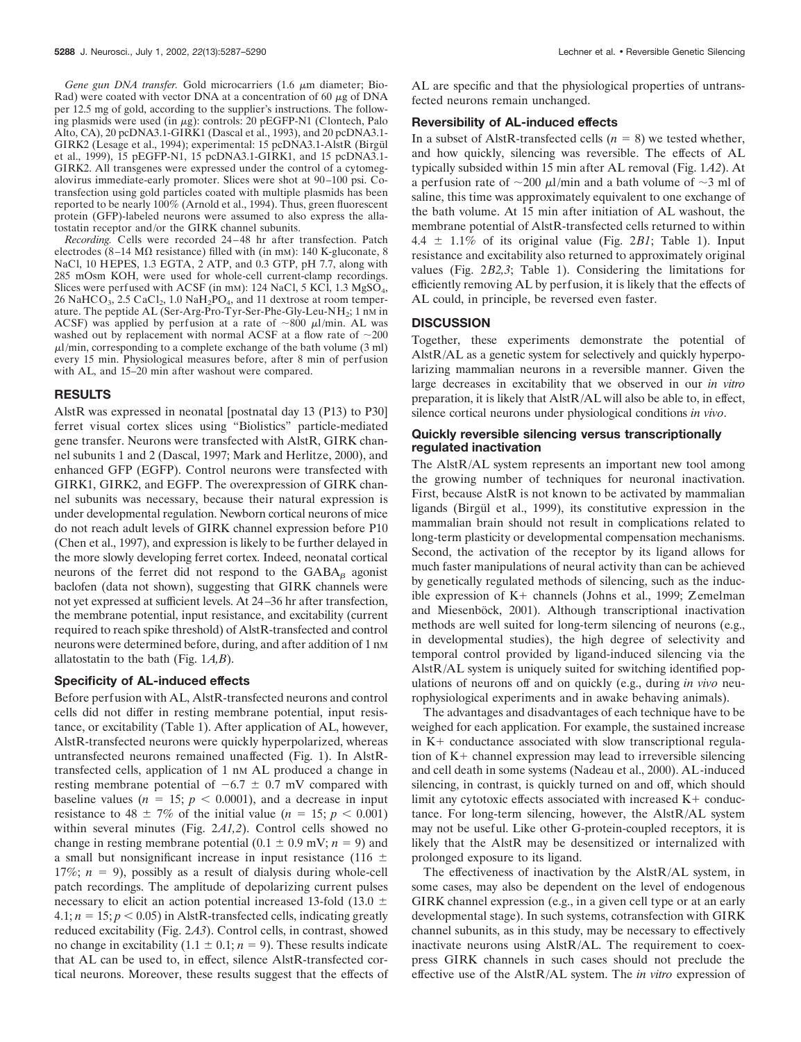*Gene gun DNA transfer.* Gold microcarriers  $(1.6 \mu m)$  diameter; Bio-Rad) were coated with vector DNA at a concentration of 60  $\mu$ g of DNA per 12.5 mg of gold, according to the supplier's instructions. The following plasmids were used (in  $\mu$ g): controls: 20 pEGFP-N1 (Clontech, Palo Alto, CA), 20 pcDNA3.1-GIRK1 (Dascal et al., 1993), and 20 pcDNA3.1- GIRK2 (Lesage et al., 1994); experimental: 15 pcDNA3.1-AlstR (Birgül et al., 1999), 15 pEGFP-N1, 15 pcDNA3.1-GIRK1, and 15 pcDNA3.1- GIRK2. All transgenes were expressed under the control of a cytomegalovirus immediate-early promoter. Slices were shot at 90–100 psi. Cotransfection using gold particles coated with multiple plasmids has been reported to be nearly 100% (Arnold et al., 1994). Thus, green fluorescent protein (GFP)-labeled neurons were assumed to also express the allatostatin receptor and/or the GIRK channel subunits.

*Recording.* Cells were recorded 24–48 hr after transfection. Patch electrodes (8–14 M $\Omega$  resistance) filled with (in mm): 140 K-gluconate, 8 NaCl, 10 HEPES, 1.3 EGTA, 2 ATP, and 0.3 GTP, pH 7.7, along with 285 mOsm KOH, were used for whole-cell current-clamp recordings. Slices were perfused with ACSF (in mm): 124 NaCl, 5 KCl, 1.3 MgSO<sub>4</sub>, 26 NaHCO<sub>3</sub>, 2.5 CaCl<sub>2</sub>, 1.0 NaH<sub>2</sub>PO<sub>4</sub>, and 11 dextrose at room temperature. The peptide AL (Ser-Arg-Pro-Tyr-Ser-Phe-Gly-Leu-NH<sub>2</sub>; 1 nM in ACSF) was applied by perfusion at a rate of  $\sim 800 \mu l/min$ . AL was washed out by replacement with normal ACSF at a flow rate of  $\sim$ 200  $\mu$ l/min, corresponding to a complete exchange of the bath volume (3 ml) every 15 min. Physiological measures before, after 8 min of perfusion with AL, and 15–20 min after washout were compared.

#### **RESULTS**

AlstR was expressed in neonatal [postnatal day 13 (P13) to P30] ferret visual cortex slices using "Biolistics" particle-mediated gene transfer. Neurons were transfected with AlstR, GIRK channel subunits 1 and 2 (Dascal, 1997; Mark and Herlitze, 2000), and enhanced GFP (EGFP). Control neurons were transfected with GIRK1, GIRK2, and EGFP. The overexpression of GIRK channel subunits was necessary, because their natural expression is under developmental regulation. Newborn cortical neurons of mice do not reach adult levels of GIRK channel expression before P10 (Chen et al., 1997), and expression is likely to be further delayed in the more slowly developing ferret cortex. Indeed, neonatal cortical neurons of the ferret did not respond to the  $GABA_\beta$  agonist baclofen (data not shown), suggesting that GIRK channels were not yet expressed at sufficient levels. At 24–36 hr after transfection, the membrane potential, input resistance, and excitability (current required to reach spike threshold) of AlstR-transfected and control neurons were determined before, during, and after addition of 1 nm allatostatin to the bath (Fig. 1*A,B*).

## **Specificity of AL-induced effects**

Before perfusion with AL, AlstR-transfected neurons and control cells did not differ in resting membrane potential, input resistance, or excitability (Table 1). After application of AL, however, AlstR-transfected neurons were quickly hyperpolarized, whereas untransfected neurons remained unaffected (Fig. 1). In AlstRtransfected cells, application of 1 nM AL produced a change in resting membrane potential of  $-6.7 \pm 0.7$  mV compared with baseline values ( $n = 15$ ;  $p < 0.0001$ ), and a decrease in input resistance to 48  $\pm$  7% of the initial value (*n* = 15; *p* < 0.001) within several minutes (Fig. 2*A1,2*). Control cells showed no change in resting membrane potential  $(0.1 \pm 0.9 \text{ mV}; n = 9)$  and a small but nonsignificant increase in input resistance (116  $\pm$ 17%;  $n = 9$ ), possibly as a result of dialysis during whole-cell patch recordings. The amplitude of depolarizing current pulses necessary to elicit an action potential increased 13-fold (13.0  $\pm$  $4.1; n = 15; p < 0.05$ ) in AlstR-transfected cells, indicating greatly reduced excitability (Fig. 2*A3*). Control cells, in contrast, showed no change in excitability  $(1.1 \pm 0.1; n = 9)$ . These results indicate that AL can be used to, in effect, silence AlstR-transfected cortical neurons. Moreover, these results suggest that the effects of AL are specific and that the physiological properties of untransfected neurons remain unchanged.

#### **Reversibility of AL-induced effects**

In a subset of AlstR-transfected cells  $(n = 8)$  we tested whether, and how quickly, silencing was reversible. The effects of AL typically subsided within 15 min after AL removal (Fig. 1*A2*). At a perfusion rate of  $\sim$ 200  $\mu$ l/min and a bath volume of  $\sim$ 3 ml of saline, this time was approximately equivalent to one exchange of the bath volume. At 15 min after initiation of AL washout, the membrane potential of AlstR-transfected cells returned to within  $4.4 \pm 1.1\%$  of its original value (Fig. 2*B1*; Table 1). Input resistance and excitability also returned to approximately original values (Fig. 2*B2,3*; Table 1). Considering the limitations for efficiently removing AL by perfusion, it is likely that the effects of AL could, in principle, be reversed even faster.

## **DISCUSSION**

Together, these experiments demonstrate the potential of AlstR/AL as a genetic system for selectively and quickly hyperpolarizing mammalian neurons in a reversible manner. Given the large decreases in excitability that we observed in our *in vitro* preparation, it is likely that AlstR/AL will also be able to, in effect, silence cortical neurons under physiological conditions *in vivo*.

## **Quickly reversible silencing versus transcriptionally regulated inactivation**

The AlstR/AL system represents an important new tool among the growing number of techniques for neuronal inactivation. First, because AlstR is not known to be activated by mammalian ligands (Birgül et al., 1999), its constitutive expression in the mammalian brain should not result in complications related to long-term plasticity or developmental compensation mechanisms. Second, the activation of the receptor by its ligand allows for much faster manipulations of neural activity than can be achieved by genetically regulated methods of silencing, such as the inducible expression of K+ channels (Johns et al., 1999; Zemelman and Miesenböck, 2001). Although transcriptional inactivation methods are well suited for long-term silencing of neurons (e.g., in developmental studies), the high degree of selectivity and temporal control provided by ligand-induced silencing via the AlstR/AL system is uniquely suited for switching identified populations of neurons off and on quickly (e.g., during *in vivo* neurophysiological experiments and in awake behaving animals).

The advantages and disadvantages of each technique have to be weighed for each application. For example, the sustained increase in  $K$ + conductance associated with slow transcriptional regulation of  $K<sup>+</sup>$  channel expression may lead to irreversible silencing and cell death in some systems (Nadeau et al., 2000). AL-induced silencing, in contrast, is quickly turned on and off, which should limit any cytotoxic effects associated with increased  $K<sup>+</sup>$  conductance. For long-term silencing, however, the AlstR/AL system may not be useful. Like other G-protein-coupled receptors, it is likely that the AlstR may be desensitized or internalized with prolonged exposure to its ligand.

The effectiveness of inactivation by the AlstR/AL system, in some cases, may also be dependent on the level of endogenous GIRK channel expression (e.g., in a given cell type or at an early developmental stage). In such systems, cotransfection with GIRK channel subunits, as in this study, may be necessary to effectively inactivate neurons using AlstR/AL. The requirement to coexpress GIRK channels in such cases should not preclude the effective use of the AlstR/AL system. The *in vitro* expression of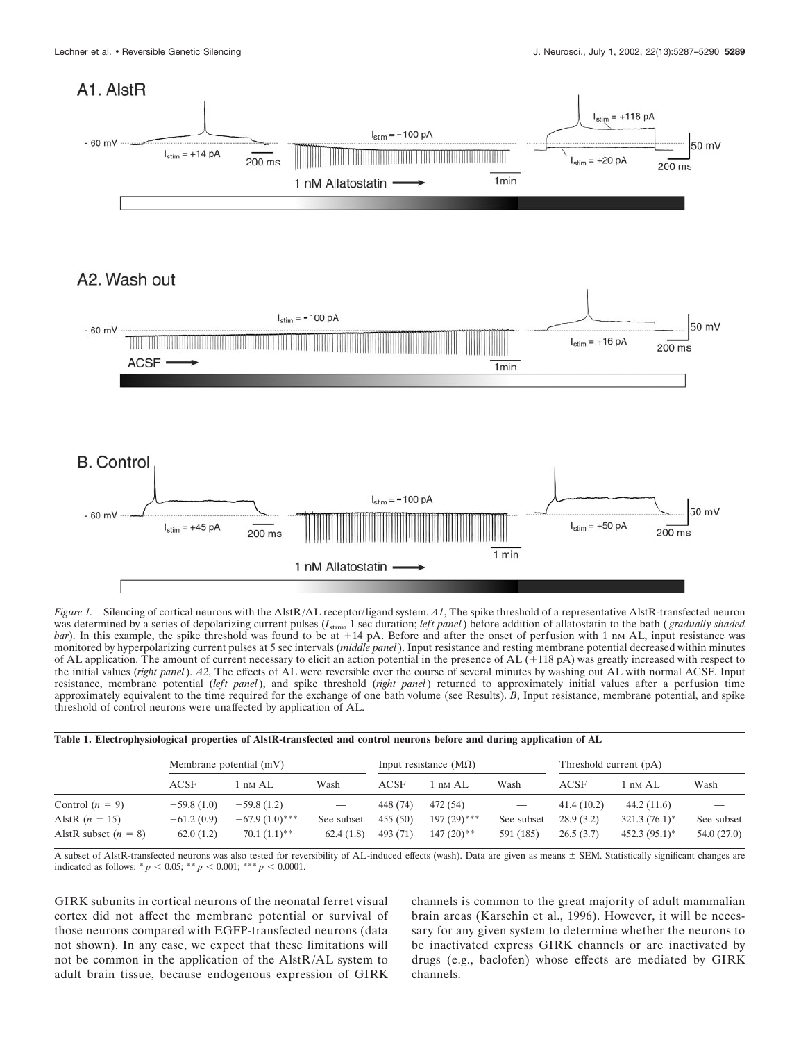

*Figure 1.* Silencing of cortical neurons with the AlstR/AL receptor/ligand system. *A1*, The spike threshold of a representative AlstR-transfected neuron was determined by a series of depolarizing current pulses (I<sub>stim</sub>, 1 sec duration; *left panel*) before addition of allatostatin to the bath (*gradually shaded bar*). In this example, the spike threshold was found to be monitored by hyperpolarizing current pulses at 5 sec intervals (*middle panel*). Input resistance and resting membrane potential decreased within minutes of AL application. The amount of current necessary to elicit an action potential in the presence of AL  $(+118 \text{ pA})$  was greatly increased with respect to the initial values (*right panel*). *A2*, The effects of AL were reversible over the course of several minutes by washing out AL with normal ACSF. Input resistance, membrane potential (*left panel*), and spike threshold (*right panel*) returned to approximately initial values after a perfusion time approximately equivalent to the time required for the exchange of one bath volume (see Results). *B*, Input resistance, membrane potential, and spike threshold of control neurons were unaffected by application of AL.

| Table 1. Electrophysiological properties of AlstR-transfected and control neurons before and during application of AL |  |  |  |
|-----------------------------------------------------------------------------------------------------------------------|--|--|--|
|                                                                                                                       |  |  |  |

|                        | Membrane potential (mV) |                  |                          | Input resistance $(M\Omega)$ |                  |            | Threshold current (pA) |                 |             |
|------------------------|-------------------------|------------------|--------------------------|------------------------------|------------------|------------|------------------------|-----------------|-------------|
|                        | <b>ACSE</b>             | l nm AL          | Wash                     | ACSF                         | $\mathsf{nm}$ AL | Wash       | ACSE                   | l nm AL         | Wash        |
| Control $(n = 9)$      | $-59.8(1.0)$            | $-59.8(1.2)$     | $\overline{\phantom{a}}$ | 448 (74)                     | 472 (54)         |            | 41.4(10.2)             | 44.2(11.6)      |             |
| AlstR $(n = 15)$       | $-61.2(0.9)$            | $-67.9(1.0)$ *** | See subset               | 455(50)                      | $197(29)$ ***    | See subset | 28.9(3.2)              | $321.3(76.1)^*$ | See subset  |
| AlstR subset $(n = 8)$ | $-62.0(1.2)$            | $-70.1(1.1)$ **  | $-62.4(1.8)$             | 493(71)                      | $147(20)$ **     | 591 (185)  | 26.5(3.7)              | $452.3(95.1)^*$ | 54.0 (27.0) |

A subset of AlstR-transfected neurons was also tested for reversibility of AL-induced effects (wash). Data are given as means  $\pm$  SEM. Statistically significant changes are indicated as follows: \*  $p < 0.05$ ; \*\*  $p < 0.001$ ; \*\*\*  $p < 0.0001$ .

GIRK subunits in cortical neurons of the neonatal ferret visual cortex did not affect the membrane potential or survival of those neurons compared with EGFP-transfected neurons (data not shown). In any case, we expect that these limitations will not be common in the application of the AlstR/AL system to adult brain tissue, because endogenous expression of GIRK

channels is common to the great majority of adult mammalian brain areas (Karschin et al., 1996). However, it will be necessary for any given system to determine whether the neurons to be inactivated express GIRK channels or are inactivated by drugs (e.g., baclofen) whose effects are mediated by GIRK channels.